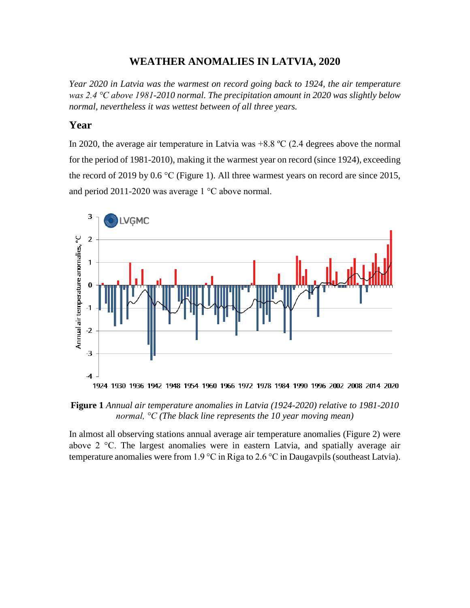#### **WEATHER ANOMALIES IN LATVIA, 2020**

*Year 2020 in Latvia was the warmest on record going back to 1924, the air temperature was 2.4 °C above 1981-2010 normal. The precipitation amount in 2020 was slightly below normal, nevertheless it was wettest between of all three years.*

## **Year**

In 2020, the average air temperature in Latvia was  $+8.8 \degree C$  (2.4 degrees above the normal for the period of 1981-2010), making it the warmest year on record (since 1924), exceeding the record of 2019 by 0.6 °C (Figure 1). All three warmest years on record are since 2015, and period 2011-2020 was average 1 °C above normal.



**Figure 1** *Annual air temperature anomalies in Latvia (1924-2020) relative to 1981-2010 normal, °C (The black line represents the 10 year moving mean)*

In almost all observing stations annual average air temperature anomalies (Figure 2) were above 2 °C. The largest anomalies were in eastern Latvia, and spatially average air temperature anomalies were from 1.9 °C in Riga to 2.6 °C in Daugavpils (southeast Latvia).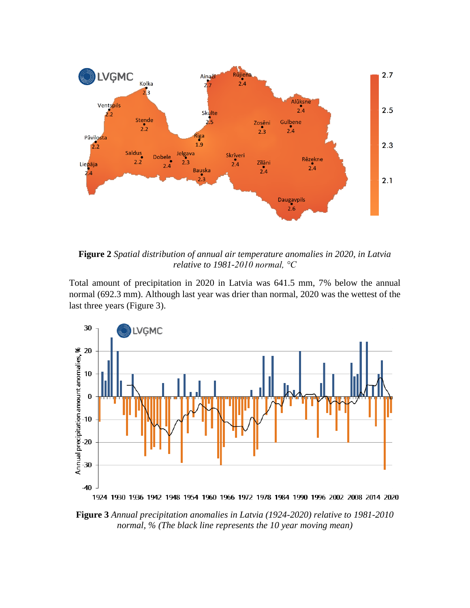

**Figure 2** *Spatial distribution of annual air temperature anomalies in 2020, in Latvia relative to 1981-2010 normal, °C*

Total amount of precipitation in 2020 in Latvia was 641.5 mm, 7% below the annual normal (692.3 mm). Although last year was drier than normal, 2020 was the wettest of the last three years (Figure 3).



**Figure 3** *Annual precipitation anomalies in Latvia (1924-2020) relative to 1981-2010 normal, % (The black line represents the 10 year moving mean)*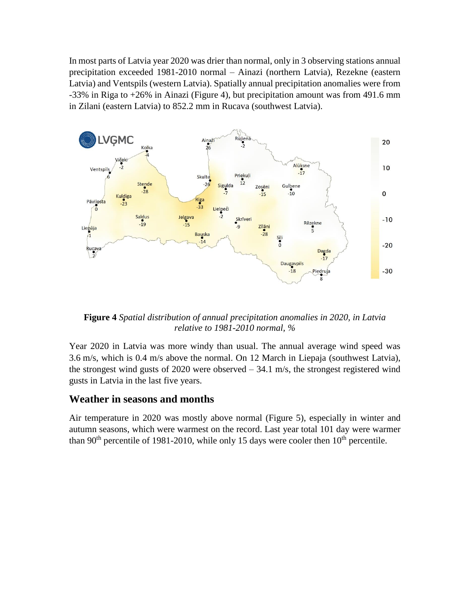In most parts of Latvia year 2020 was drier than normal, only in 3 observing stations annual precipitation exceeded 1981-2010 normal – Ainazi (northern Latvia), Rezekne (eastern Latvia) and Ventspils (western Latvia). Spatially annual precipitation anomalies were from -33% in Riga to +26% in Ainazi (Figure 4), but precipitation amount was from 491.6 mm in Zilani (eastern Latvia) to 852.2 mm in Rucava (southwest Latvia).



**Figure 4** *Spatial distribution of annual precipitation anomalies in 2020, in Latvia relative to 1981-2010 normal, %*

Year 2020 in Latvia was more windy than usual. The annual average wind speed was 3.6 m/s, which is 0.4 m/s above the normal. On 12 March in Liepaja (southwest Latvia), the strongest wind gusts of 2020 were observed – 34.1 m/s, the strongest registered wind gusts in Latvia in the last five years.

# **Weather in seasons and months**

Air temperature in 2020 was mostly above normal (Figure 5), especially in winter and autumn seasons, which were warmest on the record. Last year total 101 day were warmer than 90<sup>th</sup> percentile of 1981-2010, while only 15 days were cooler then  $10<sup>th</sup>$  percentile.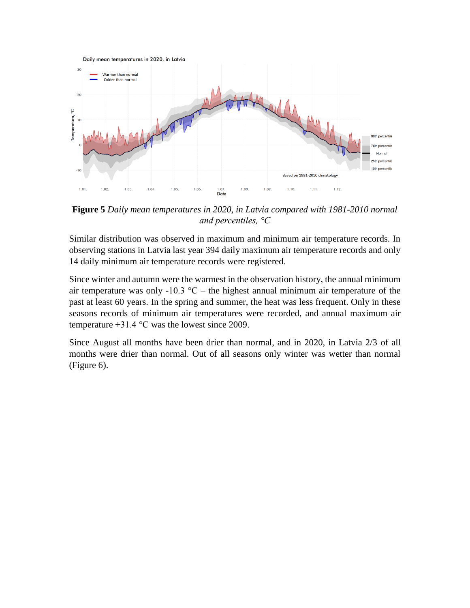

**Figure 5** *Daily mean temperatures in 2020, in Latvia compared with 1981-2010 normal and percentiles, °C*

Similar distribution was observed in maximum and minimum air temperature records. In observing stations in Latvia last year 394 daily maximum air temperature records and only 14 daily minimum air temperature records were registered.

Since winter and autumn were the warmest in the observation history, the annual minimum air temperature was only -10.3  $^{\circ}$ C – the highest annual minimum air temperature of the past at least 60 years. In the spring and summer, the heat was less frequent. Only in these seasons records of minimum air temperatures were recorded, and annual maximum air temperature  $+31.4$  °C was the lowest since 2009.

Since August all months have been drier than normal, and in 2020, in Latvia 2/3 of all months were drier than normal. Out of all seasons only winter was wetter than normal (Figure 6).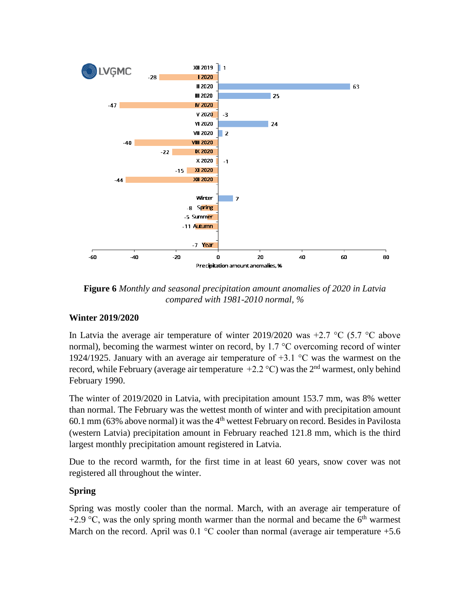

**Figure 6** *Monthly and seasonal precipitation amount anomalies of 2020 in Latvia compared with 1981-2010 normal, %*

#### **Winter 2019/2020**

In Latvia the average air temperature of winter 2019/2020 was  $+2.7 \degree$ C (5.7  $\degree$ C above normal), becoming the warmest winter on record, by 1.7 °C overcoming record of winter 1924/1925. January with an average air temperature of +3.1 °C was the warmest on the record, while February (average air temperature  $+2.2$  °C) was the 2<sup>nd</sup> warmest, only behind February 1990.

The winter of 2019/2020 in Latvia, with precipitation amount 153.7 mm, was 8% wetter than normal. The February was the wettest month of winter and with precipitation amount 60.1 mm (63% above normal) it was the 4<sup>th</sup> wettest February on record. Besides in Pavilosta (western Latvia) precipitation amount in February reached 121.8 mm, which is the third largest monthly precipitation amount registered in Latvia.

Due to the record warmth, for the first time in at least 60 years, snow cover was not registered all throughout the winter.

#### **Spring**

Spring was mostly cooler than the normal. March, with an average air temperature of +2.9  $\degree$ C, was the only spring month warmer than the normal and became the 6<sup>th</sup> warmest March on the record. April was  $0.1 \degree$ C cooler than normal (average air temperature +5.6